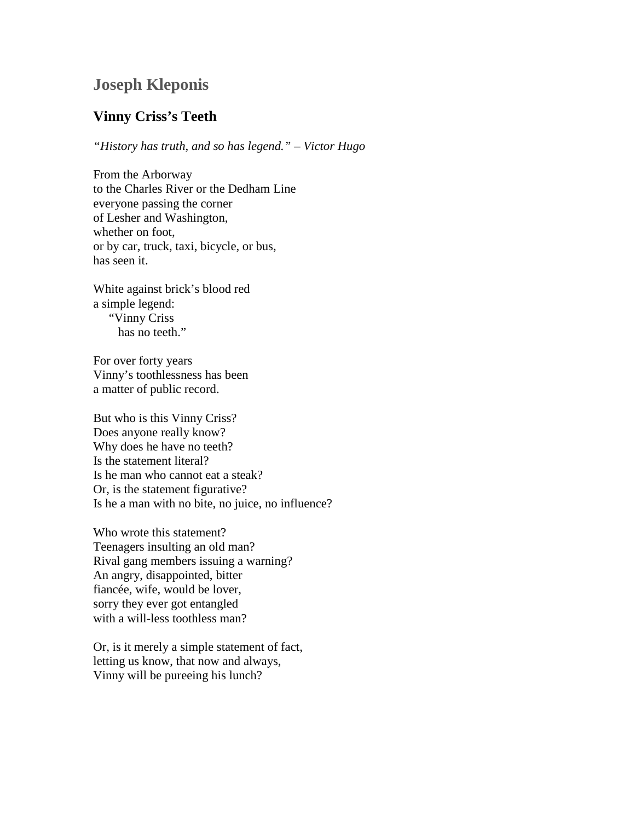## **Joseph Kleponis**

## **Vinny Criss's Teeth**

*"History has truth, and so has legend." – Victor Hugo*

From the Arborway to the Charles River or the Dedham Line everyone passing the corner of Lesher and Washington, whether on foot, or by car, truck, taxi, bicycle, or bus, has seen it.

White against brick's blood red a simple legend: "Vinny Criss has no teeth."

For over forty years Vinny's toothlessness has been a matter of public record.

But who is this Vinny Criss? Does anyone really know? Why does he have no teeth? Is the statement literal? Is he man who cannot eat a steak? Or, is the statement figurative? Is he a man with no bite, no juice, no influence?

Who wrote this statement? Teenagers insulting an old man? Rival gang members issuing a warning? An angry, disappointed, bitter fiancée, wife, would be lover, sorry they ever got entangled with a will-less toothless man?

Or, is it merely a simple statement of fact, letting us know, that now and always, Vinny will be pureeing his lunch?